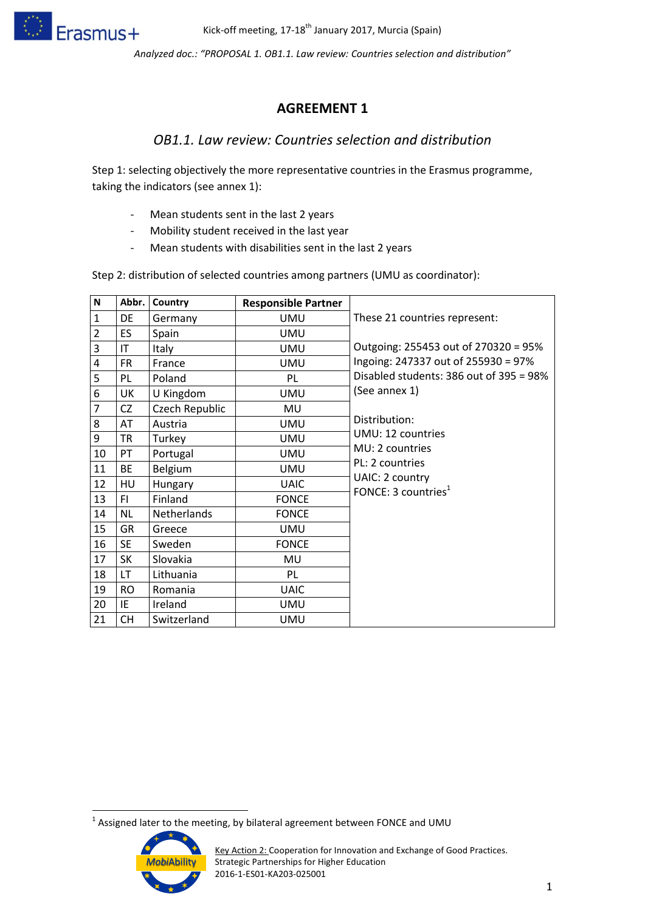

*Analyzed doc.: "PROPOSAL 1. OB1.1. Law review: Countries selection and distribution"*

## **AGREEMENT 1**

## *OB1.1. Law review: Countries selection and distribution*

Step 1: selecting objectively the more representative countries in the Erasmus programme, taking the indicators (see annex 1):

- Mean students sent in the last 2 years
- Mobility student received in the last year
- Mean students with disabilities sent in the last 2 years

Step 2: distribution of selected countries among partners (UMU as coordinator):

| N              | Abbr.     | Country            | <b>Responsible Partner</b> |                                                    |
|----------------|-----------|--------------------|----------------------------|----------------------------------------------------|
| $\mathbf{1}$   | DE        | Germany            | UMU                        | These 21 countries represent:                      |
| $\overline{2}$ | ES        | Spain              | <b>UMU</b>                 |                                                    |
| 3              | IT        | Italy              | <b>UMU</b>                 | Outgoing: 255453 out of 270320 = 95%               |
| 4              | <b>FR</b> | France             | <b>UMU</b>                 | Ingoing: 247337 out of 255930 = 97%                |
| 5              | PL        | Poland             | PL                         | Disabled students: 386 out of 395 = 98%            |
| 6              | UK        | U Kingdom          | <b>UMU</b>                 | (See annex 1)                                      |
| $\overline{7}$ | CZ        | Czech Republic     | MU                         |                                                    |
| 8              | AT        | Austria            | <b>UMU</b>                 | Distribution:                                      |
| 9              | <b>TR</b> | Turkey             | <b>UMU</b>                 | UMU: 12 countries                                  |
| 10             | PT        | Portugal           | <b>UMU</b>                 | MU: 2 countries                                    |
| 11             | BE        | <b>Belgium</b>     | <b>UMU</b>                 | PL: 2 countries                                    |
| 12             | HU        | Hungary            | <b>UAIC</b>                | UAIC: 2 country<br>FONCE: 3 countries <sup>1</sup> |
| 13             | FI.       | Finland            | <b>FONCE</b>               |                                                    |
| 14             | <b>NL</b> | <b>Netherlands</b> | <b>FONCE</b>               |                                                    |
| 15             | GR        | Greece             | <b>UMU</b>                 |                                                    |
| 16             | <b>SE</b> | Sweden             | <b>FONCE</b>               |                                                    |
| 17             | <b>SK</b> | Slovakia           | MU                         |                                                    |
| 18             | LT        | Lithuania          | PL                         |                                                    |
| 19             | <b>RO</b> | Romania            | <b>UAIC</b>                |                                                    |
| 20             | ΙE        | Ireland            | <b>UMU</b>                 |                                                    |
| 21             | <b>CH</b> | Switzerland        | UMU                        |                                                    |

 1 Assigned later to the meeting, by bilateral agreement between FONCE and UMU